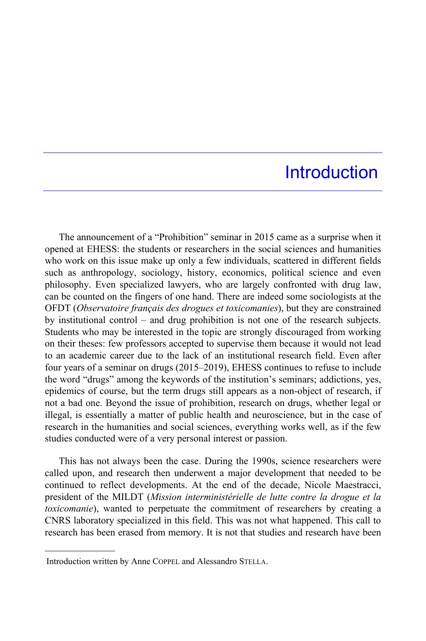## **Introduction**

The announcement of a "Prohibition" seminar in 2015 came as a surprise when it opened at EHESS: the students or researchers in the social sciences and humanities who work on this issue make up only a few individuals, scattered in different fields such as anthropology, sociology, history, economics, political science and even philosophy. Even specialized lawyers, who are largely confronted with drug law, can be counted on the fingers of one hand. There are indeed some sociologists at the OFDT (*Observatoire français des drogues et toxicomanies*), but they are constrained by institutional control – and drug prohibition is not one of the research subjects. Students who may be interested in the topic are strongly discouraged from working on their theses: few professors accepted to supervise them because it would not lead to an academic career due to the lack of an institutional research field. Even after four years of a seminar on drugs (2015–2019), EHESS continues to refuse to include the word "drugs" among the keywords of the institution's seminars; addictions, yes, epidemics of course, but the term drugs still appears as a non-object of research, if not a bad one. Beyond the issue of prohibition, research on drugs, whether legal or illegal, is essentially a matter of public health and neuroscience, but in the case of research in the humanities and social sciences, everything works well, as if the few studies conducted were of a very personal interest or passion.

This has not always been the case. During the 1990s, science researchers were called upon, and research then underwent a major development that needed to be continued to reflect developments. At the end of the decade, Nicole Maestracci, president of the MILDT (*Mission interministérielle de lutte contre la drogue et la toxicomanie*), wanted to perpetuate the commitment of researchers by creating a CNRS laboratory specialized in this field. This was not what happened. This call to research has been erased from memory. It is not that studies and research have been

Introduction written by Anne COPPEL and Alessandro STELLA.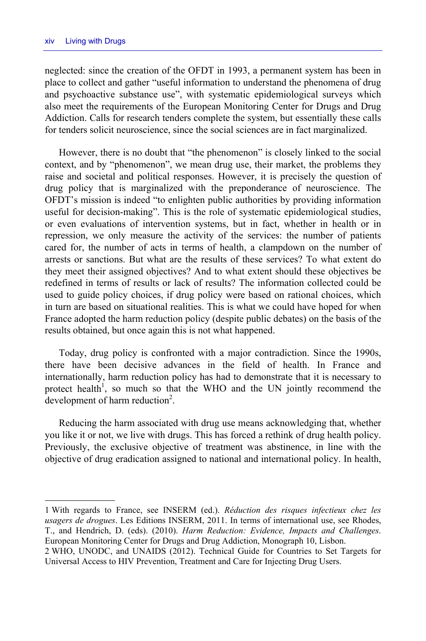-

neglected: since the creation of the OFDT in 1993, a permanent system has been in place to collect and gather "useful information to understand the phenomena of drug and psychoactive substance use", with systematic epidemiological surveys which also meet the requirements of the European Monitoring Center for Drugs and Drug Addiction. Calls for research tenders complete the system, but essentially these calls for tenders solicit neuroscience, since the social sciences are in fact marginalized.

However, there is no doubt that "the phenomenon" is closely linked to the social context, and by "phenomenon", we mean drug use, their market, the problems they raise and societal and political responses. However, it is precisely the question of drug policy that is marginalized with the preponderance of neuroscience. The OFDT's mission is indeed "to enlighten public authorities by providing information useful for decision-making". This is the role of systematic epidemiological studies, or even evaluations of intervention systems, but in fact, whether in health or in repression, we only measure the activity of the services: the number of patients cared for, the number of acts in terms of health, a clampdown on the number of arrests or sanctions. But what are the results of these services? To what extent do they meet their assigned objectives? And to what extent should these objectives be redefined in terms of results or lack of results? The information collected could be used to guide policy choices, if drug policy were based on rational choices, which in turn are based on situational realities. This is what we could have hoped for when France adopted the harm reduction policy (despite public debates) on the basis of the results obtained, but once again this is not what happened.

Today, drug policy is confronted with a major contradiction. Since the 1990s, there have been decisive advances in the field of health. In France and internationally, harm reduction policy has had to demonstrate that it is necessary to protect health<sup>1</sup>, so much so that the WHO and the UN jointly recommend the development of harm reduction<sup>2</sup>.

Reducing the harm associated with drug use means acknowledging that, whether you like it or not, we live with drugs. This has forced a rethink of drug health policy. Previously, the exclusive objective of treatment was abstinence, in line with the objective of drug eradication assigned to national and international policy. In health,

<sup>1</sup> With regards to France, see INSERM (ed.). *Réduction des risques infectieux chez les usagers de drogues*. Les Editions INSERM, 2011. In terms of international use, see Rhodes, T., and Hendrich, D. (eds). (2010). *Harm Reduction: Evidence, Impacts and Challenges*. European Monitoring Center for Drugs and Drug Addiction, Monograph 10, Lisbon.

<sup>2</sup> WHO, UNODC, and UNAIDS (2012). Technical Guide for Countries to Set Targets for Universal Access to HIV Prevention, Treatment and Care for Injecting Drug Users.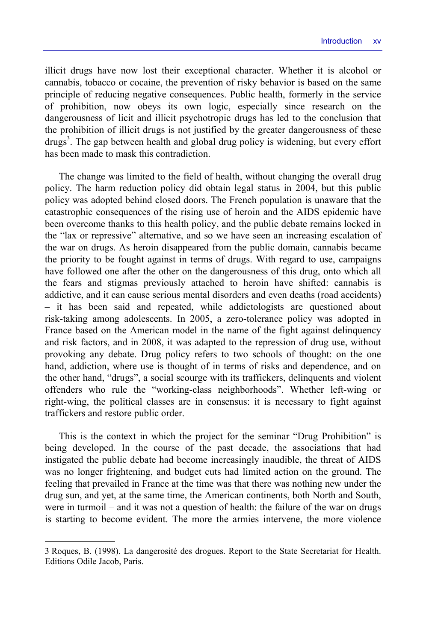illicit drugs have now lost their exceptional character. Whether it is alcohol or cannabis, tobacco or cocaine, the prevention of risky behavior is based on the same principle of reducing negative consequences. Public health, formerly in the service of prohibition, now obeys its own logic, especially since research on the dangerousness of licit and illicit psychotropic drugs has led to the conclusion that the prohibition of illicit drugs is not justified by the greater dangerousness of these drugs<sup>3</sup>. The gap between health and global drug policy is widening, but every effort has been made to mask this contradiction.

The change was limited to the field of health, without changing the overall drug policy. The harm reduction policy did obtain legal status in 2004, but this public policy was adopted behind closed doors. The French population is unaware that the catastrophic consequences of the rising use of heroin and the AIDS epidemic have been overcome thanks to this health policy, and the public debate remains locked in the "lax or repressive" alternative, and so we have seen an increasing escalation of the war on drugs. As heroin disappeared from the public domain, cannabis became the priority to be fought against in terms of drugs. With regard to use, campaigns have followed one after the other on the dangerousness of this drug, onto which all the fears and stigmas previously attached to heroin have shifted: cannabis is addictive, and it can cause serious mental disorders and even deaths (road accidents) – it has been said and repeated, while addictologists are questioned about risk-taking among adolescents. In 2005, a zero-tolerance policy was adopted in France based on the American model in the name of the fight against delinquency and risk factors, and in 2008, it was adapted to the repression of drug use, without provoking any debate. Drug policy refers to two schools of thought: on the one hand, addiction, where use is thought of in terms of risks and dependence, and on the other hand, "drugs", a social scourge with its traffickers, delinquents and violent offenders who rule the "working-class neighborhoods". Whether left-wing or right-wing, the political classes are in consensus: it is necessary to fight against traffickers and restore public order.

This is the context in which the project for the seminar "Drug Prohibition" is being developed. In the course of the past decade, the associations that had instigated the public debate had become increasingly inaudible, the threat of AIDS was no longer frightening, and budget cuts had limited action on the ground. The feeling that prevailed in France at the time was that there was nothing new under the drug sun, and yet, at the same time, the American continents, both North and South, were in turmoil – and it was not a question of health: the failure of the war on drugs is starting to become evident. The more the armies intervene, the more violence

<sup>3</sup> Roques, B. (1998). La dangerosité des drogues. Report to the State Secretariat for Health. Editions Odile Jacob, Paris.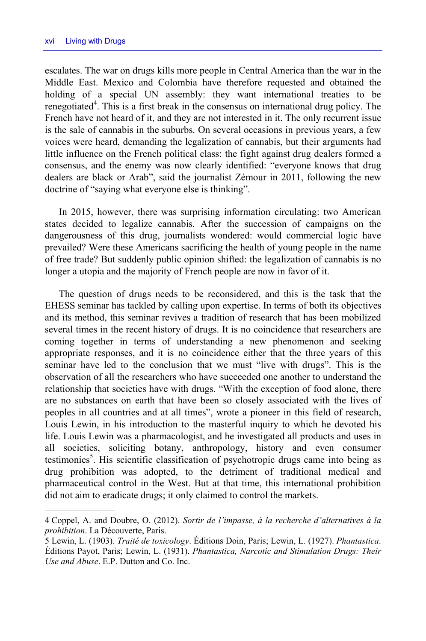escalates. The war on drugs kills more people in Central America than the war in the Middle East. Mexico and Colombia have therefore requested and obtained the holding of a special UN assembly: they want international treaties to be renegotiated<sup>4</sup>. This is a first break in the consensus on international drug policy. The French have not heard of it, and they are not interested in it. The only recurrent issue is the sale of cannabis in the suburbs. On several occasions in previous years, a few voices were heard, demanding the legalization of cannabis, but their arguments had little influence on the French political class: the fight against drug dealers formed a consensus, and the enemy was now clearly identified: "everyone knows that drug dealers are black or Arab", said the journalist Zémour in 2011, following the new doctrine of "saying what everyone else is thinking".

In 2015, however, there was surprising information circulating: two American states decided to legalize cannabis. After the succession of campaigns on the dangerousness of this drug, journalists wondered: would commercial logic have prevailed? Were these Americans sacrificing the health of young people in the name of free trade? But suddenly public opinion shifted: the legalization of cannabis is no longer a utopia and the majority of French people are now in favor of it.

The question of drugs needs to be reconsidered, and this is the task that the EHESS seminar has tackled by calling upon expertise. In terms of both its objectives and its method, this seminar revives a tradition of research that has been mobilized several times in the recent history of drugs. It is no coincidence that researchers are coming together in terms of understanding a new phenomenon and seeking appropriate responses, and it is no coincidence either that the three years of this seminar have led to the conclusion that we must "live with drugs". This is the observation of all the researchers who have succeeded one another to understand the relationship that societies have with drugs. "With the exception of food alone, there are no substances on earth that have been so closely associated with the lives of peoples in all countries and at all times", wrote a pioneer in this field of research, Louis Lewin, in his introduction to the masterful inquiry to which he devoted his life. Louis Lewin was a pharmacologist, and he investigated all products and uses in all societies, soliciting botany, anthropology, history and even consumer testimonies<sup>5</sup>. His scientific classification of psychotropic drugs came into being as drug prohibition was adopted, to the detriment of traditional medical and pharmaceutical control in the West. But at that time, this international prohibition did not aim to eradicate drugs; it only claimed to control the markets.

<sup>4</sup> Coppel, A. and Doubre, O. (2012). *Sortir de l'impasse, à la recherche d'alternatives à la prohibition*. La Découverte, Paris.

<sup>5</sup> Lewin, L. (1903). *Traité de toxicology*. Éditions Doin, Paris; Lewin, L. (1927). *Phantastica*. Éditions Payot, Paris; Lewin, L. (1931). *Phantastica, Narcotic and Stimulation Drugs: Their Use and Abuse*. E.P. Dutton and Co. Inc.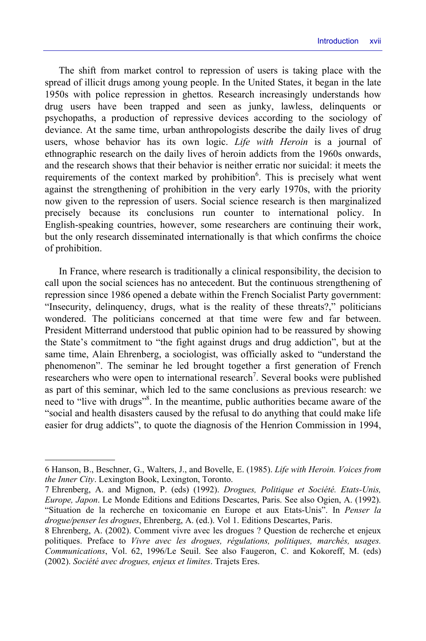The shift from market control to repression of users is taking place with the spread of illicit drugs among young people. In the United States, it began in the late 1950s with police repression in ghettos. Research increasingly understands how drug users have been trapped and seen as junky, lawless, delinquents or psychopaths, a production of repressive devices according to the sociology of deviance. At the same time, urban anthropologists describe the daily lives of drug users, whose behavior has its own logic. *Life with Heroin* is a journal of ethnographic research on the daily lives of heroin addicts from the 1960s onwards, and the research shows that their behavior is neither erratic nor suicidal: it meets the requirements of the context marked by prohibition<sup>6</sup>. This is precisely what went against the strengthening of prohibition in the very early 1970s, with the priority now given to the repression of users. Social science research is then marginalized precisely because its conclusions run counter to international policy. In English-speaking countries, however, some researchers are continuing their work, but the only research disseminated internationally is that which confirms the choice of prohibition.

In France, where research is traditionally a clinical responsibility, the decision to call upon the social sciences has no antecedent. But the continuous strengthening of repression since 1986 opened a debate within the French Socialist Party government: "Insecurity, delinquency, drugs, what is the reality of these threats?," politicians wondered. The politicians concerned at that time were few and far between. President Mitterrand understood that public opinion had to be reassured by showing the State's commitment to "the fight against drugs and drug addiction", but at the same time, Alain Ehrenberg, a sociologist, was officially asked to "understand the phenomenon". The seminar he led brought together a first generation of French researchers who were open to international research<sup>7</sup>. Several books were published as part of this seminar, which led to the same conclusions as previous research: we need to "live with drugs"8 . In the meantime, public authorities became aware of the "social and health disasters caused by the refusal to do anything that could make life easier for drug addicts", to quote the diagnosis of the Henrion Commission in 1994,

<sup>6</sup> Hanson, B., Beschner, G., Walters, J., and Bovelle, E. (1985). *Life with Heroin. Voices from the Inner City*. Lexington Book, Lexington, Toronto.

<sup>7</sup> Ehrenberg, A. and Mignon, P. (eds) (1992). *Drogues, Politique et Société. Etats-Unis, Europe, Japon*. Le Monde Editions and Editions Descartes, Paris. See also Ogien, A. (1992). "Situation de la recherche en toxicomanie en Europe et aux Etats-Unis". In *Penser la drogue/penser les drogues*, Ehrenberg, A. (ed.). Vol 1. Editions Descartes, Paris.

<sup>8</sup> Ehrenberg, A. (2002). Comment vivre avec les drogues ? Question de recherche et enjeux politiques. Preface to *Vivre avec les drogues, régulations, politiques, marchés, usages. Communications*, Vol. 62, 1996/Le Seuil. See also Faugeron, C. and Kokoreff, M. (eds) (2002). *Société avec drogues, enjeux et limites*. Trajets Eres.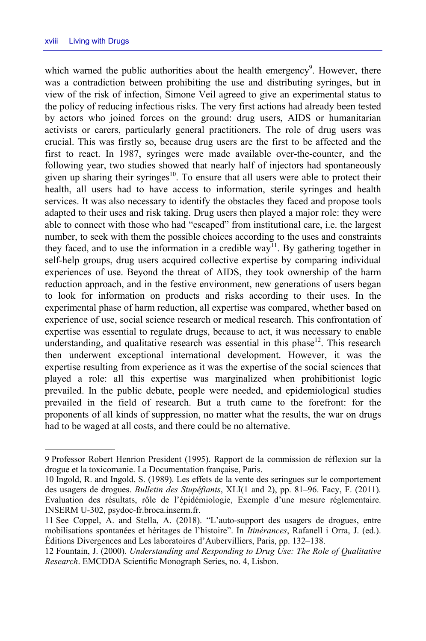which warned the public authorities about the health emergency<sup>9</sup>. However, there was a contradiction between prohibiting the use and distributing syringes, but in view of the risk of infection, Simone Veil agreed to give an experimental status to the policy of reducing infectious risks. The very first actions had already been tested by actors who joined forces on the ground: drug users, AIDS or humanitarian activists or carers, particularly general practitioners. The role of drug users was crucial. This was firstly so, because drug users are the first to be affected and the first to react. In 1987, syringes were made available over-the-counter, and the following year, two studies showed that nearly half of injectors had spontaneously given up sharing their syringes $10$ . To ensure that all users were able to protect their health, all users had to have access to information, sterile syringes and health services. It was also necessary to identify the obstacles they faced and propose tools adapted to their uses and risk taking. Drug users then played a major role: they were able to connect with those who had "escaped" from institutional care, i.e. the largest number, to seek with them the possible choices according to the uses and constraints they faced, and to use the information in a credible way<sup>11</sup>. By gathering together in self-help groups, drug users acquired collective expertise by comparing individual experiences of use. Beyond the threat of AIDS, they took ownership of the harm reduction approach, and in the festive environment, new generations of users began to look for information on products and risks according to their uses. In the experimental phase of harm reduction, all expertise was compared, whether based on experience of use, social science research or medical research. This confrontation of expertise was essential to regulate drugs, because to act, it was necessary to enable understanding, and qualitative research was essential in this phase<sup>12</sup>. This research then underwent exceptional international development. However, it was the expertise resulting from experience as it was the expertise of the social sciences that played a role: all this expertise was marginalized when prohibitionist logic prevailed. In the public debate, people were needed, and epidemiological studies prevailed in the field of research. But a truth came to the forefront: for the proponents of all kinds of suppression, no matter what the results, the war on drugs had to be waged at all costs, and there could be no alternative.

<sup>9</sup> Professor Robert Henrion President (1995). Rapport de la commission de réflexion sur la drogue et la toxicomanie. La Documentation française, Paris.

<sup>10</sup> Ingold, R. and Ingold, S. (1989). Les effets de la vente des seringues sur le comportement des usagers de drogues. *Bulletin des Stupéfiants*, XLI(1 and 2), pp. 81–96. Facy, F. (2011). Evaluation des résultats, rôle de l'épidémiologie, Exemple d'une mesure réglementaire. INSERM U-302, psydoc-fr.broca.inserm.fr.

<sup>11</sup> See Coppel, A. and Stella, A. (2018). "L'auto-support des usagers de drogues, entre mobilisations spontanées et héritages de l'histoire". In *Itinérances*, Rafanell i Orra, J. (ed.). Éditions Divergences and Les laboratoires d'Aubervilliers, Paris, pp. 132–138.

<sup>12</sup> Fountain, J. (2000). *Understanding and Responding to Drug Use: The Role of Qualitative Research*. EMCDDA Scientific Monograph Series, no. 4, Lisbon.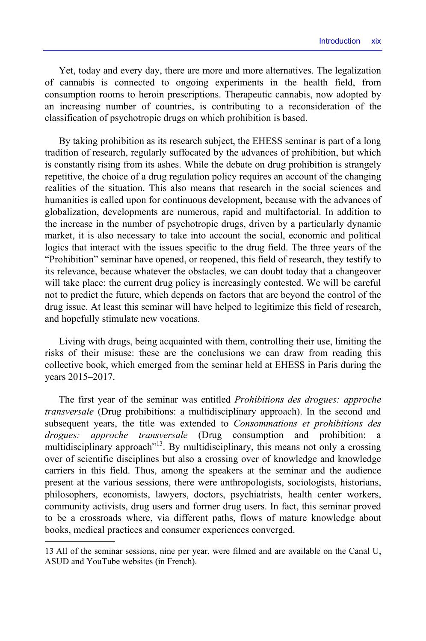Yet, today and every day, there are more and more alternatives. The legalization of cannabis is connected to ongoing experiments in the health field, from consumption rooms to heroin prescriptions. Therapeutic cannabis, now adopted by an increasing number of countries, is contributing to a reconsideration of the classification of psychotropic drugs on which prohibition is based.

By taking prohibition as its research subject, the EHESS seminar is part of a long tradition of research, regularly suffocated by the advances of prohibition, but which is constantly rising from its ashes. While the debate on drug prohibition is strangely repetitive, the choice of a drug regulation policy requires an account of the changing realities of the situation. This also means that research in the social sciences and humanities is called upon for continuous development, because with the advances of globalization, developments are numerous, rapid and multifactorial. In addition to the increase in the number of psychotropic drugs, driven by a particularly dynamic market, it is also necessary to take into account the social, economic and political logics that interact with the issues specific to the drug field. The three years of the "Prohibition" seminar have opened, or reopened, this field of research, they testify to its relevance, because whatever the obstacles, we can doubt today that a changeover will take place: the current drug policy is increasingly contested. We will be careful not to predict the future, which depends on factors that are beyond the control of the drug issue. At least this seminar will have helped to legitimize this field of research, and hopefully stimulate new vocations.

Living with drugs, being acquainted with them, controlling their use, limiting the risks of their misuse: these are the conclusions we can draw from reading this collective book, which emerged from the seminar held at EHESS in Paris during the years 2015–2017.

The first year of the seminar was entitled *Prohibitions des drogues: approche transversale* (Drug prohibitions: a multidisciplinary approach). In the second and subsequent years, the title was extended to *Consommations et prohibitions des drogues: approche transversale* (Drug consumption and prohibition: multidisciplinary approach<sup> $13$ </sup>. By multidisciplinary, this means not only a crossing over of scientific disciplines but also a crossing over of knowledge and knowledge carriers in this field. Thus, among the speakers at the seminar and the audience present at the various sessions, there were anthropologists, sociologists, historians, philosophers, economists, lawyers, doctors, psychiatrists, health center workers, community activists, drug users and former drug users. In fact, this seminar proved to be a crossroads where, via different paths, flows of mature knowledge about books, medical practices and consumer experiences converged.

<sup>13</sup> All of the seminar sessions, nine per year, were filmed and are available on the Canal U, ASUD and YouTube websites (in French).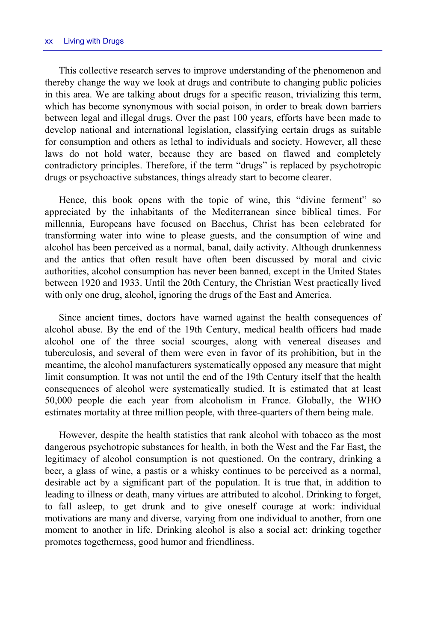This collective research serves to improve understanding of the phenomenon and thereby change the way we look at drugs and contribute to changing public policies in this area. We are talking about drugs for a specific reason, trivializing this term, which has become synonymous with social poison, in order to break down barriers between legal and illegal drugs. Over the past 100 years, efforts have been made to develop national and international legislation, classifying certain drugs as suitable for consumption and others as lethal to individuals and society. However, all these laws do not hold water, because they are based on flawed and completely contradictory principles. Therefore, if the term "drugs" is replaced by psychotropic drugs or psychoactive substances, things already start to become clearer.

Hence, this book opens with the topic of wine, this "divine ferment" so appreciated by the inhabitants of the Mediterranean since biblical times. For millennia, Europeans have focused on Bacchus, Christ has been celebrated for transforming water into wine to please guests, and the consumption of wine and alcohol has been perceived as a normal, banal, daily activity. Although drunkenness and the antics that often result have often been discussed by moral and civic authorities, alcohol consumption has never been banned, except in the United States between 1920 and 1933. Until the 20th Century, the Christian West practically lived with only one drug, alcohol, ignoring the drugs of the East and America.

Since ancient times, doctors have warned against the health consequences of alcohol abuse. By the end of the 19th Century, medical health officers had made alcohol one of the three social scourges, along with venereal diseases and tuberculosis, and several of them were even in favor of its prohibition, but in the meantime, the alcohol manufacturers systematically opposed any measure that might limit consumption. It was not until the end of the 19th Century itself that the health consequences of alcohol were systematically studied. It is estimated that at least 50,000 people die each year from alcoholism in France. Globally, the WHO estimates mortality at three million people, with three-quarters of them being male.

However, despite the health statistics that rank alcohol with tobacco as the most dangerous psychotropic substances for health, in both the West and the Far East, the legitimacy of alcohol consumption is not questioned. On the contrary, drinking a beer, a glass of wine, a pastis or a whisky continues to be perceived as a normal, desirable act by a significant part of the population. It is true that, in addition to leading to illness or death, many virtues are attributed to alcohol. Drinking to forget, to fall asleep, to get drunk and to give oneself courage at work: individual motivations are many and diverse, varying from one individual to another, from one moment to another in life. Drinking alcohol is also a social act: drinking together promotes togetherness, good humor and friendliness.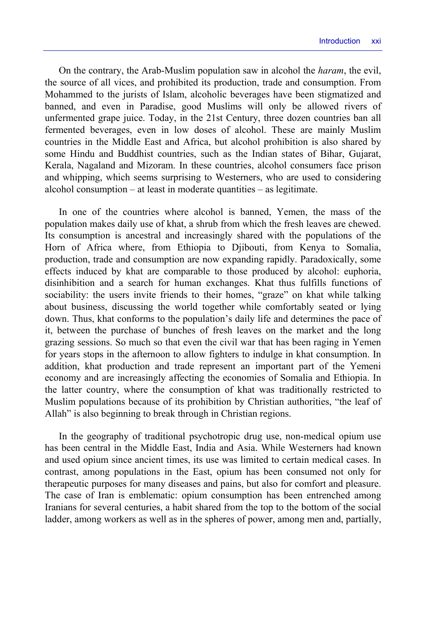On the contrary, the Arab-Muslim population saw in alcohol the *haram*, the evil, the source of all vices, and prohibited its production, trade and consumption. From Mohammed to the jurists of Islam, alcoholic beverages have been stigmatized and banned, and even in Paradise, good Muslims will only be allowed rivers of unfermented grape juice. Today, in the 21st Century, three dozen countries ban all fermented beverages, even in low doses of alcohol. These are mainly Muslim countries in the Middle East and Africa, but alcohol prohibition is also shared by some Hindu and Buddhist countries, such as the Indian states of Bihar, Gujarat, Kerala, Nagaland and Mizoram. In these countries, alcohol consumers face prison and whipping, which seems surprising to Westerners, who are used to considering alcohol consumption – at least in moderate quantities – as legitimate.

In one of the countries where alcohol is banned, Yemen, the mass of the population makes daily use of khat, a shrub from which the fresh leaves are chewed. Its consumption is ancestral and increasingly shared with the populations of the Horn of Africa where, from Ethiopia to Djibouti, from Kenya to Somalia, production, trade and consumption are now expanding rapidly. Paradoxically, some effects induced by khat are comparable to those produced by alcohol: euphoria, disinhibition and a search for human exchanges. Khat thus fulfills functions of sociability: the users invite friends to their homes, "graze" on khat while talking about business, discussing the world together while comfortably seated or lying down. Thus, khat conforms to the population's daily life and determines the pace of it, between the purchase of bunches of fresh leaves on the market and the long grazing sessions. So much so that even the civil war that has been raging in Yemen for years stops in the afternoon to allow fighters to indulge in khat consumption. In addition, khat production and trade represent an important part of the Yemeni economy and are increasingly affecting the economies of Somalia and Ethiopia. In the latter country, where the consumption of khat was traditionally restricted to Muslim populations because of its prohibition by Christian authorities, "the leaf of Allah" is also beginning to break through in Christian regions.

In the geography of traditional psychotropic drug use, non-medical opium use has been central in the Middle East, India and Asia. While Westerners had known and used opium since ancient times, its use was limited to certain medical cases. In contrast, among populations in the East, opium has been consumed not only for therapeutic purposes for many diseases and pains, but also for comfort and pleasure. The case of Iran is emblematic: opium consumption has been entrenched among Iranians for several centuries, a habit shared from the top to the bottom of the social ladder, among workers as well as in the spheres of power, among men and, partially,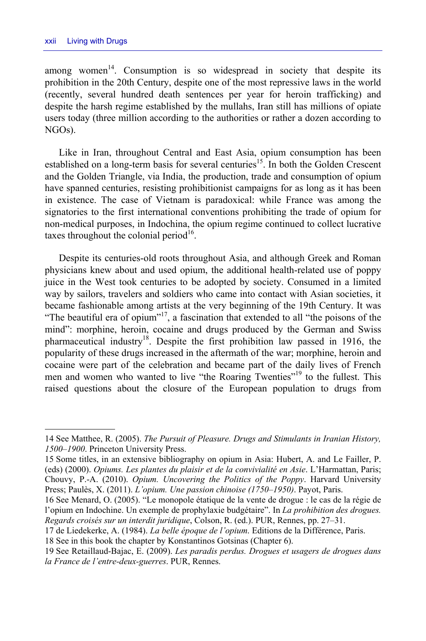among women<sup>14</sup>. Consumption is so widespread in society that despite its prohibition in the 20th Century, despite one of the most repressive laws in the world (recently, several hundred death sentences per year for heroin trafficking) and despite the harsh regime established by the mullahs, Iran still has millions of opiate users today (three million according to the authorities or rather a dozen according to NGOs).

Like in Iran, throughout Central and East Asia, opium consumption has been established on a long-term basis for several centuries<sup>15</sup>. In both the Golden Crescent and the Golden Triangle, via India, the production, trade and consumption of opium have spanned centuries, resisting prohibitionist campaigns for as long as it has been in existence. The case of Vietnam is paradoxical: while France was among the signatories to the first international conventions prohibiting the trade of opium for non-medical purposes, in Indochina, the opium regime continued to collect lucrative taxes throughout the colonial period $16$ .

Despite its centuries-old roots throughout Asia, and although Greek and Roman physicians knew about and used opium, the additional health-related use of poppy juice in the West took centuries to be adopted by society. Consumed in a limited way by sailors, travelers and soldiers who came into contact with Asian societies, it became fashionable among artists at the very beginning of the 19th Century. It was "The beautiful era of opium"<sup>17</sup>, a fascination that extended to all "the poisons of the mind": morphine, heroin, cocaine and drugs produced by the German and Swiss pharmaceutical industry<sup>18</sup>. Despite the first prohibition law passed in 1916, the popularity of these drugs increased in the aftermath of the war; morphine, heroin and cocaine were part of the celebration and became part of the daily lives of French men and women who wanted to live "the Roaring Twenties"<sup>19</sup> to the fullest. This raised questions about the closure of the European population to drugs from

<sup>14</sup> See Matthee, R. (2005). *The Pursuit of Pleasure. Drugs and Stimulants in Iranian History, 1500–1900*. Princeton University Press.

<sup>15</sup> Some titles, in an extensive bibliography on opium in Asia: Hubert, A. and Le Failler, P. (eds) (2000). *Opiums. Les plantes du plaisir et de la convivialité en Asie*. L'Harmattan, Paris; Chouvy, P.-A. (2010). *Opium. Uncovering the Politics of the Poppy*. Harvard University Press; Paulès, X. (2011). *L'opium. Une passion chinoise (1750–1950)*. Payot, Paris.

<sup>16</sup> See Menard, O. (2005). "Le monopole étatique de la vente de drogue : le cas de la régie de l'opium en Indochine. Un exemple de prophylaxie budgétaire". In *La prohibition des drogues. Regards croisés sur un interdit juridique*, Colson, R. (ed.). PUR, Rennes, pp. 27–31.

<sup>17</sup> de Liedekerke, A. (1984). *La belle époque de l'opium*. Editions de la Différence, Paris.

<sup>18</sup> See in this book the chapter by Konstantinos Gotsinas (Chapter 6).

<sup>19</sup> See Retaillaud-Bajac, E. (2009). *Les paradis perdus. Drogues et usagers de drogues dans la France de l'entre-deux-guerres*. PUR, Rennes.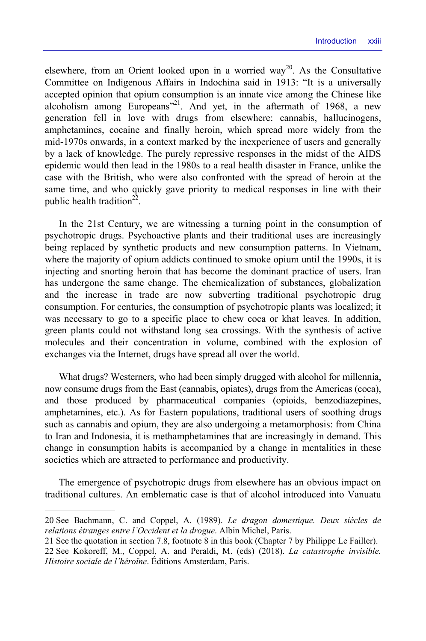elsewhere, from an Orient looked upon in a worried way<sup>20</sup>. As the Consultative Committee on Indigenous Affairs in Indochina said in 1913: "It is a universally accepted opinion that opium consumption is an innate vice among the Chinese like alcoholism among Europeans"<sup>21</sup>. And yet, in the aftermath of 1968, a new generation fell in love with drugs from elsewhere: cannabis, hallucinogens, amphetamines, cocaine and finally heroin, which spread more widely from the mid-1970s onwards, in a context marked by the inexperience of users and generally by a lack of knowledge. The purely repressive responses in the midst of the AIDS epidemic would then lead in the 1980s to a real health disaster in France, unlike the case with the British, who were also confronted with the spread of heroin at the same time, and who quickly gave priority to medical responses in line with their public health tradition<sup>22</sup>.

In the 21st Century, we are witnessing a turning point in the consumption of psychotropic drugs. Psychoactive plants and their traditional uses are increasingly being replaced by synthetic products and new consumption patterns. In Vietnam, where the majority of opium addicts continued to smoke opium until the 1990s, it is injecting and snorting heroin that has become the dominant practice of users. Iran has undergone the same change. The chemicalization of substances, globalization and the increase in trade are now subverting traditional psychotropic drug consumption. For centuries, the consumption of psychotropic plants was localized; it was necessary to go to a specific place to chew coca or khat leaves. In addition, green plants could not withstand long sea crossings. With the synthesis of active molecules and their concentration in volume, combined with the explosion of exchanges via the Internet, drugs have spread all over the world.

What drugs? Westerners, who had been simply drugged with alcohol for millennia, now consume drugs from the East (cannabis, opiates), drugs from the Americas (coca), and those produced by pharmaceutical companies (opioids, benzodiazepines, amphetamines, etc.). As for Eastern populations, traditional users of soothing drugs such as cannabis and opium, they are also undergoing a metamorphosis: from China to Iran and Indonesia, it is methamphetamines that are increasingly in demand. This change in consumption habits is accompanied by a change in mentalities in these societies which are attracted to performance and productivity.

The emergence of psychotropic drugs from elsewhere has an obvious impact on traditional cultures. An emblematic case is that of alcohol introduced into Vanuatu

1

21 See the quotation in section 7.8, footnote 8 in this book (Chapter 7 by Philippe Le Failler).

<sup>20</sup> See Bachmann, C. and Coppel, A. (1989). *Le dragon domestique. Deux siècles de relations étranges entre l'Occident et la drogue*. Albin Michel, Paris.

<sup>22</sup> See Kokoreff, M., Coppel, A. and Peraldi, M. (eds) (2018). *La catastrophe invisible. Histoire sociale de l'héroïne*. Éditions Amsterdam, Paris.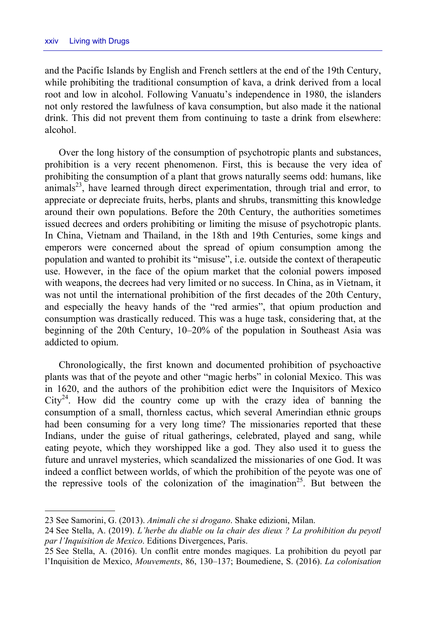and the Pacific Islands by English and French settlers at the end of the 19th Century, while prohibiting the traditional consumption of kava, a drink derived from a local root and low in alcohol. Following Vanuatu's independence in 1980, the islanders not only restored the lawfulness of kava consumption, but also made it the national drink. This did not prevent them from continuing to taste a drink from elsewhere: alcohol.

Over the long history of the consumption of psychotropic plants and substances, prohibition is a very recent phenomenon. First, this is because the very idea of prohibiting the consumption of a plant that grows naturally seems odd: humans, like animals<sup>23</sup>, have learned through direct experimentation, through trial and error, to appreciate or depreciate fruits, herbs, plants and shrubs, transmitting this knowledge around their own populations. Before the 20th Century, the authorities sometimes issued decrees and orders prohibiting or limiting the misuse of psychotropic plants. In China, Vietnam and Thailand, in the 18th and 19th Centuries, some kings and emperors were concerned about the spread of opium consumption among the population and wanted to prohibit its "misuse", i.e. outside the context of therapeutic use. However, in the face of the opium market that the colonial powers imposed with weapons, the decrees had very limited or no success. In China, as in Vietnam, it was not until the international prohibition of the first decades of the 20th Century, and especially the heavy hands of the "red armies", that opium production and consumption was drastically reduced. This was a huge task, considering that, at the beginning of the 20th Century, 10–20% of the population in Southeast Asia was addicted to opium.

Chronologically, the first known and documented prohibition of psychoactive plants was that of the peyote and other "magic herbs" in colonial Mexico. This was in 1620, and the authors of the prohibition edict were the Inquisitors of Mexico  $City<sup>24</sup>$ . How did the country come up with the crazy idea of banning the consumption of a small, thornless cactus, which several Amerindian ethnic groups had been consuming for a very long time? The missionaries reported that these Indians, under the guise of ritual gatherings, celebrated, played and sang, while eating peyote, which they worshipped like a god. They also used it to guess the future and unravel mysteries, which scandalized the missionaries of one God. It was indeed a conflict between worlds, of which the prohibition of the peyote was one of the repressive tools of the colonization of the imagination<sup>25</sup>. But between the

<sup>23</sup> See Samorini, G. (2013). *Animali che si drogano*. Shake edizioni, Milan.

<sup>24</sup> See Stella, A. (2019). *L'herbe du diable ou la chair des dieux ? La prohibition du peyotl par l'Inquisition de Mexico*. Editions Divergences, Paris.

<sup>25</sup> See Stella, A. (2016). Un conflit entre mondes magiques. La prohibition du peyotl par l'Inquisition de Mexico, *Mouvements*, 86, 130–137; Boumediene, S. (2016). *La colonisation*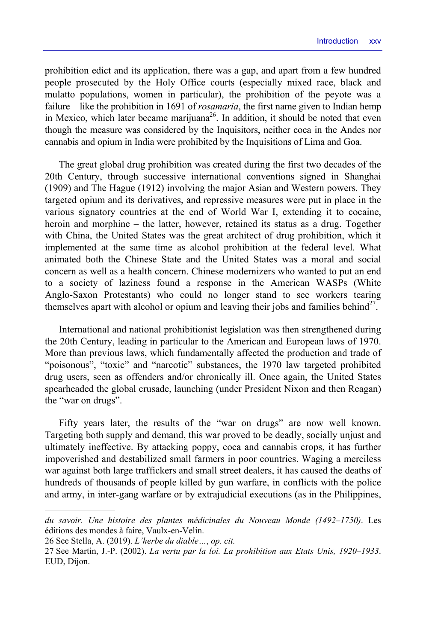prohibition edict and its application, there was a gap, and apart from a few hundred people prosecuted by the Holy Office courts (especially mixed race, black and mulatto populations, women in particular), the prohibition of the peyote was a failure – like the prohibition in 1691 of *rosamaria*, the first name given to Indian hemp in Mexico, which later became marijuana<sup>26</sup>. In addition, it should be noted that even though the measure was considered by the Inquisitors, neither coca in the Andes nor cannabis and opium in India were prohibited by the Inquisitions of Lima and Goa.

The great global drug prohibition was created during the first two decades of the 20th Century, through successive international conventions signed in Shanghai (1909) and The Hague (1912) involving the major Asian and Western powers. They targeted opium and its derivatives, and repressive measures were put in place in the various signatory countries at the end of World War I, extending it to cocaine, heroin and morphine – the latter, however, retained its status as a drug. Together with China, the United States was the great architect of drug prohibition, which it implemented at the same time as alcohol prohibition at the federal level. What animated both the Chinese State and the United States was a moral and social concern as well as a health concern. Chinese modernizers who wanted to put an end to a society of laziness found a response in the American WASPs (White Anglo-Saxon Protestants) who could no longer stand to see workers tearing themselves apart with alcohol or opium and leaving their jobs and families behind<sup>27</sup>.

International and national prohibitionist legislation was then strengthened during the 20th Century, leading in particular to the American and European laws of 1970. More than previous laws, which fundamentally affected the production and trade of "poisonous", "toxic" and "narcotic" substances, the 1970 law targeted prohibited drug users, seen as offenders and/or chronically ill. Once again, the United States spearheaded the global crusade, launching (under President Nixon and then Reagan) the "war on drugs".

Fifty years later, the results of the "war on drugs" are now well known. Targeting both supply and demand, this war proved to be deadly, socially unjust and ultimately ineffective. By attacking poppy, coca and cannabis crops, it has further impoverished and destabilized small farmers in poor countries. Waging a merciless war against both large traffickers and small street dealers, it has caused the deaths of hundreds of thousands of people killed by gun warfare, in conflicts with the police and army, in inter-gang warfare or by extrajudicial executions (as in the Philippines,

*du savoir. Une histoire des plantes médicinales du Nouveau Monde (1492–1750)*. Les éditions des mondes à faire, Vaulx-en-Velin.

<sup>26</sup> See Stella, A. (2019). *L'herbe du diable…*, *op. cit.*

<sup>27</sup> See Martin, J.-P. (2002). *La vertu par la loi. La prohibition aux Etats Unis, 1920–1933*. EUD, Dijon.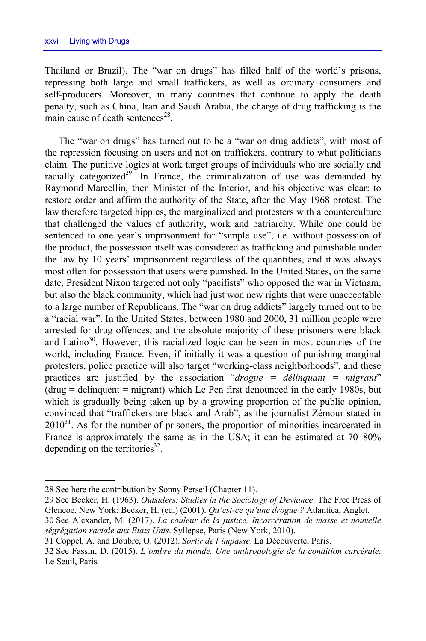Thailand or Brazil). The "war on drugs" has filled half of the world's prisons, repressing both large and small traffickers, as well as ordinary consumers and self-producers. Moreover, in many countries that continue to apply the death penalty, such as China, Iran and Saudi Arabia, the charge of drug trafficking is the main cause of death sentences $^{28}$ .

The "war on drugs" has turned out to be a "war on drug addicts", with most of the repression focusing on users and not on traffickers, contrary to what politicians claim. The punitive logics at work target groups of individuals who are socially and racially categorized<sup>29</sup>. In France, the criminalization of use was demanded by Raymond Marcellin, then Minister of the Interior, and his objective was clear: to restore order and affirm the authority of the State, after the May 1968 protest. The law therefore targeted hippies, the marginalized and protesters with a counterculture that challenged the values of authority, work and patriarchy. While one could be sentenced to one year's imprisonment for "simple use", i.e. without possession of the product, the possession itself was considered as trafficking and punishable under the law by 10 years' imprisonment regardless of the quantities, and it was always most often for possession that users were punished. In the United States, on the same date, President Nixon targeted not only "pacifists" who opposed the war in Vietnam, but also the black community, which had just won new rights that were unacceptable to a large number of Republicans. The "war on drug addicts" largely turned out to be a "racial war". In the United States, between 1980 and 2000, 31 million people were arrested for drug offences, and the absolute majority of these prisoners were black and Latino<sup>30</sup>. However, this racialized logic can be seen in most countries of the world, including France. Even, if initially it was a question of punishing marginal protesters, police practice will also target "working-class neighborhoods", and these practices are justified by the association "*drogue = délinquant = migrant*" (drug = delinquent = migrant) which Le Pen first denounced in the early 1980s, but which is gradually being taken up by a growing proportion of the public opinion, convinced that "traffickers are black and Arab", as the journalist Zémour stated in  $2010<sup>31</sup>$ . As for the number of prisoners, the proportion of minorities incarcerated in France is approximately the same as in the USA; it can be estimated at 70–80% depending on the territories $^{32}$ .

<sup>28</sup> See here the contribution by Sonny Perseil (Chapter 11).

<sup>29</sup> See Becker, H. (1963). *Outsiders: Studies in the Sociology of Deviance*. The Free Press of Glencoe, New York; Becker, H. (ed.) (2001). *Qu'est-ce qu'une drogue ?* Atlantica, Anglet.

<sup>30</sup> See Alexander, M. (2017). *La couleur de la justice. Incarcération de masse et nouvelle ségrégation raciale aux Etats Unis*. Syllepse, Paris (New York, 2010).

<sup>31</sup> Coppel, A. and Doubre, O. (2012). *Sortir de l'impasse*. La Découverte, Paris.

<sup>32</sup> See Fassin, D. (2015). *L'ombre du monde. Une anthropologie de la condition carcérale*. Le Seuil, Paris.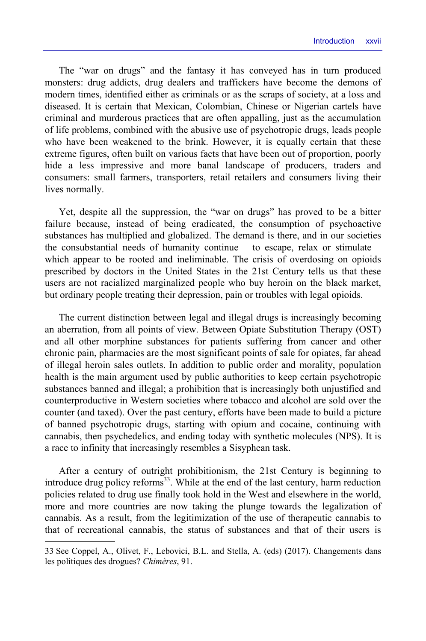The "war on drugs" and the fantasy it has conveyed has in turn produced monsters: drug addicts, drug dealers and traffickers have become the demons of modern times, identified either as criminals or as the scraps of society, at a loss and diseased. It is certain that Mexican, Colombian, Chinese or Nigerian cartels have criminal and murderous practices that are often appalling, just as the accumulation of life problems, combined with the abusive use of psychotropic drugs, leads people who have been weakened to the brink. However, it is equally certain that these extreme figures, often built on various facts that have been out of proportion, poorly hide a less impressive and more banal landscape of producers, traders and consumers: small farmers, transporters, retail retailers and consumers living their lives normally.

Yet, despite all the suppression, the "war on drugs" has proved to be a bitter failure because, instead of being eradicated, the consumption of psychoactive substances has multiplied and globalized. The demand is there, and in our societies the consubstantial needs of humanity continue – to escape, relax or stimulate – which appear to be rooted and ineliminable. The crisis of overdosing on opioids prescribed by doctors in the United States in the 21st Century tells us that these users are not racialized marginalized people who buy heroin on the black market, but ordinary people treating their depression, pain or troubles with legal opioids.

The current distinction between legal and illegal drugs is increasingly becoming an aberration, from all points of view. Between Opiate Substitution Therapy (OST) and all other morphine substances for patients suffering from cancer and other chronic pain, pharmacies are the most significant points of sale for opiates, far ahead of illegal heroin sales outlets. In addition to public order and morality, population health is the main argument used by public authorities to keep certain psychotropic substances banned and illegal; a prohibition that is increasingly both unjustified and counterproductive in Western societies where tobacco and alcohol are sold over the counter (and taxed). Over the past century, efforts have been made to build a picture of banned psychotropic drugs, starting with opium and cocaine, continuing with cannabis, then psychedelics, and ending today with synthetic molecules (NPS). It is a race to infinity that increasingly resembles a Sisyphean task.

After a century of outright prohibitionism, the 21st Century is beginning to introduce drug policy reforms<sup>33</sup>. While at the end of the last century, harm reduction policies related to drug use finally took hold in the West and elsewhere in the world, more and more countries are now taking the plunge towards the legalization of cannabis. As a result, from the legitimization of the use of therapeutic cannabis to that of recreational cannabis, the status of substances and that of their users is

<sup>33</sup> See Coppel, A., Olivet, F., Lebovici, B.L. and Stella, A. (eds) (2017). Changements dans les politiques des drogues? *Chimères*, 91.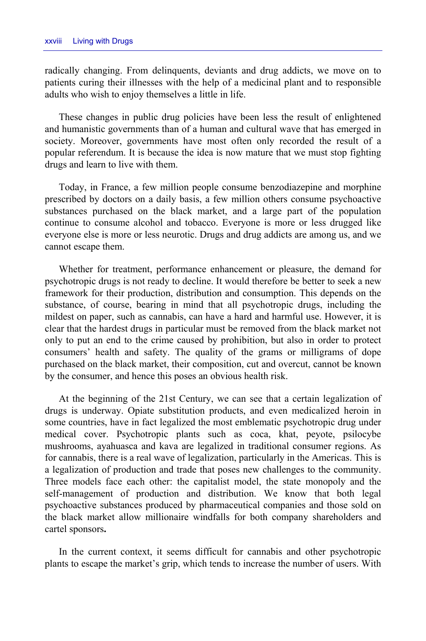radically changing. From delinquents, deviants and drug addicts, we move on to patients curing their illnesses with the help of a medicinal plant and to responsible adults who wish to enjoy themselves a little in life.

These changes in public drug policies have been less the result of enlightened and humanistic governments than of a human and cultural wave that has emerged in society. Moreover, governments have most often only recorded the result of a popular referendum. It is because the idea is now mature that we must stop fighting drugs and learn to live with them.

Today, in France, a few million people consume benzodiazepine and morphine prescribed by doctors on a daily basis, a few million others consume psychoactive substances purchased on the black market, and a large part of the population continue to consume alcohol and tobacco. Everyone is more or less drugged like everyone else is more or less neurotic. Drugs and drug addicts are among us, and we cannot escape them.

Whether for treatment, performance enhancement or pleasure, the demand for psychotropic drugs is not ready to decline. It would therefore be better to seek a new framework for their production, distribution and consumption. This depends on the substance, of course, bearing in mind that all psychotropic drugs, including the mildest on paper, such as cannabis, can have a hard and harmful use. However, it is clear that the hardest drugs in particular must be removed from the black market not only to put an end to the crime caused by prohibition, but also in order to protect consumers' health and safety. The quality of the grams or milligrams of dope purchased on the black market, their composition, cut and overcut, cannot be known by the consumer, and hence this poses an obvious health risk.

At the beginning of the 21st Century, we can see that a certain legalization of drugs is underway. Opiate substitution products, and even medicalized heroin in some countries, have in fact legalized the most emblematic psychotropic drug under medical cover. Psychotropic plants such as coca, khat, peyote, psilocybe mushrooms, ayahuasca and kava are legalized in traditional consumer regions. As for cannabis, there is a real wave of legalization, particularly in the Americas. This is a legalization of production and trade that poses new challenges to the community. Three models face each other: the capitalist model, the state monopoly and the self-management of production and distribution. We know that both legal psychoactive substances produced by pharmaceutical companies and those sold on the black market allow millionaire windfalls for both company shareholders and cartel sponsors**.** 

In the current context, it seems difficult for cannabis and other psychotropic plants to escape the market's grip, which tends to increase the number of users. With